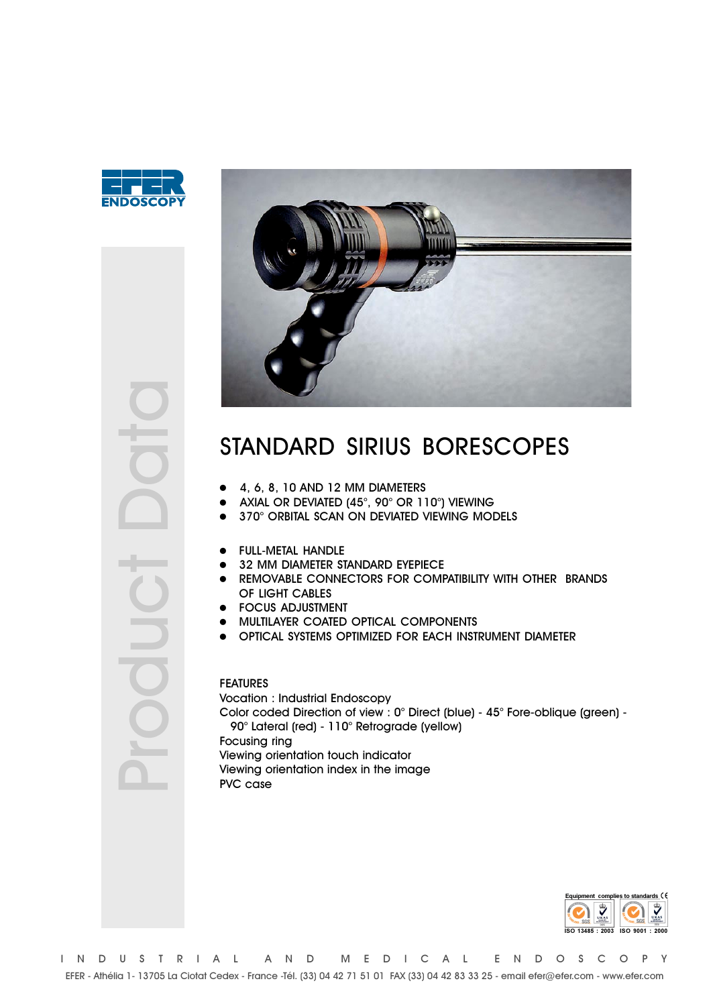



## STANDARD SIRIUS BORESCOPES

- 4, 6, 8, 10 AND 12 MM DIAMETERS
- AXIAL OR DEVIATED (45°, 90° OR 110°) VIEWING
- 370° ORBITAL SCAN ON DEVIATED VIEWING MODELS
- **FULL-METAL HANDLE**
- 32 MM DIAMETER STANDARD EYEPIECE
- REMOVABLE CONNECTORS FOR COMPATIBILITY WITH OTHER BRANDS OF LIGHT CABLES
- **FOCUS ADJUSTMENT**
- · MULTILAYER COATED OPTICAL COMPONENTS
- OPTICAL SYSTEMS OPTIMIZED FOR EACH INSTRUMENT DIAMETER

## **FEATURES Vocation : Industrial Endoscopy** Color coded Direction of view: 0° Direct (blue) - 45° Fore-oblique (green) -90° Lateral (red) - 110° Retrograde (yellow) Focusing ring Viewing orientation touch indicator Viewing orientation index in the image PVC case